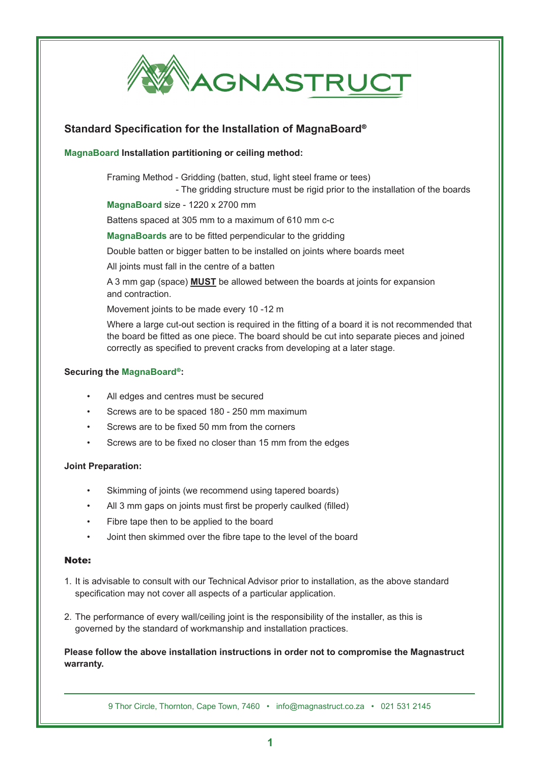

## **Standard Specification for the Installation of MagnaBoard**®

## **MagnaBoard Installation partitioning or ceiling method:**

Framing Method - Gridding (batten, stud, light steel frame or tees)

- The gridding structure must be rigid prior to the installation of the boards

**MagnaBoard** size - 1220 x 2700 mm

Battens spaced at 305 mm to a maximum of 610 mm c-c

**MagnaBoards** are to be fitted perpendicular to the gridding

Double batten or bigger batten to be installed on joints where boards meet

All joints must fall in the centre of a batten

A 3 mm gap (space) **MUST** be allowed between the boards at joints for expansion and contraction.

Movement joints to be made every 10 -12 m

Where a large cut-out section is required in the fitting of a board it is not recommended that the board be fitted as one piece. The board should be cut into separate pieces and joined correctly as specified to prevent cracks from developing at a later stage.

#### **Securing the MagnaBoard**®**:**

- All edges and centres must be secured
- Screws are to be spaced 180 250 mm maximum
- Screws are to be fixed 50 mm from the corners
- Screws are to be fixed no closer than 15 mm from the edges

#### **Joint Preparation:**

- Skimming of joints (we recommend using tapered boards)
- All 3 mm gaps on joints must first be properly caulked (filled)
- Fibre tape then to be applied to the board
- Joint then skimmed over the fibre tape to the level of the board

#### Note:

- 1. It is advisable to consult with our Technical Advisor prior to installation, as the above standard specification may not cover all aspects of a particular application.
- 2. The performance of every wall/ceiling joint is the responsibility of the installer, as this is governed by the standard of workmanship and installation practices.

## **Please follow the above installation instructions in order not to compromise the Magnastruct warranty.**

9 Thor Circle, Thornton, Cape Town, 7460 • info@magnastruct.co.za • 021 531 2145